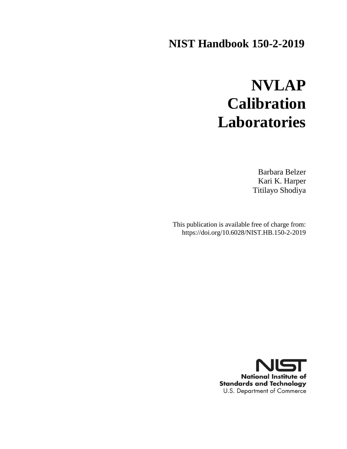# **NIST Handbook 150-2-2019**

# **NVLAP Calibration Laboratories**

Barbara Belzer Kari K. Harper Titilayo Shodiya

This publication is available free of charge from: https://doi.org/10.6028/NIST.HB.150-2-2019

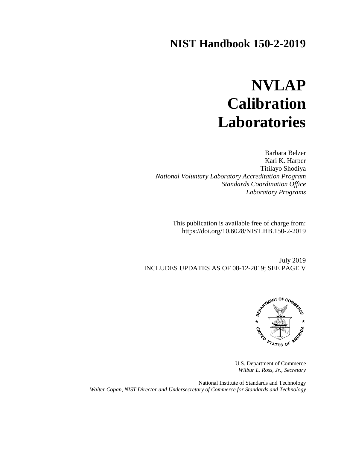# **NIST Handbook 150-2-2019**

# **NVLAP Calibration Laboratories**

Barbara Belzer Kari K. Harper Titilayo Shodiya *National Voluntary Laboratory Accreditation Program Standards Coordination Office Laboratory Programs*

> This publication is available free of charge from: https://doi.org/10.6028/NIST.HB.150-2-2019

July 2019 INCLUDES UPDATES AS OF 08-12-2019; SEE PAGE V



U.S. Department of Commerce *Wilbur L. Ross, Jr., Secretary*

National Institute of Standards and Technology *Walter Copan, NIST Director and Undersecretary of Commerce for Standards and Technology*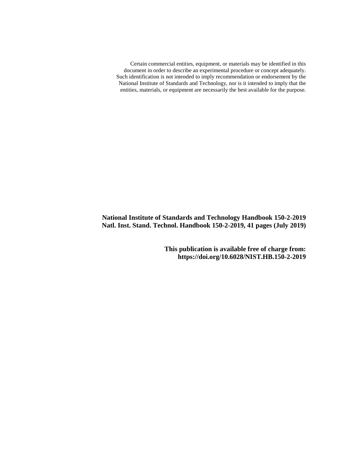Certain commercial entities, equipment, or materials may be identified in this document in order to describe an experimental procedure or concept adequately. Such identification is not intended to imply recommendation or endorsement by the National Institute of Standards and Technology, nor is it intended to imply that the entities, materials, or equipment are necessarily the best available for the purpose.

**National Institute of Standards and Technology Handbook 150-2-2019 Natl. Inst. Stand. Technol. Handbook 150-2-2019, 41 pages (July 2019)**

> **This publication is available free of charge from: https://doi.org/10.6028/NIST.HB.150-2-2019**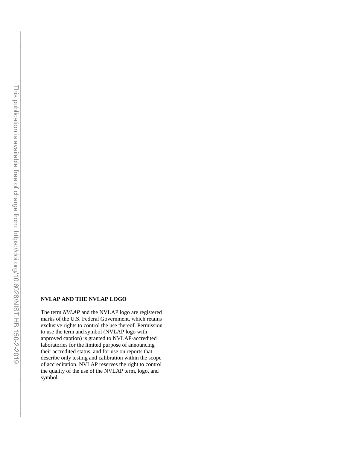$\mathcal{L}_\text{max} = \mathcal{L}_\text{max} = \mathcal{L}_\text{max} = \mathcal{L}_\text{max} = \mathcal{L}_\text{max} = \mathcal{L}_\text{max} = \mathcal{L}_\text{max} = \mathcal{L}_\text{max} = \mathcal{L}_\text{max} = \mathcal{L}_\text{max} = \mathcal{L}_\text{max} = \mathcal{L}_\text{max} = \mathcal{L}_\text{max} = \mathcal{L}_\text{max} = \mathcal{L}_\text{max} = \mathcal{L}_\text{max} = \mathcal{L}_\text{max} = \mathcal{L}_\text{max} = \mathcal{$ 

#### **NVLAP AND THE NVLAP LOGO**

The term *NVLAP* and the NVLAP logo are registered marks of the U.S. Federal Government, which retains exclusive rights to control the use thereof. Permission to use the term and symbol (NVLAP logo with approved caption) is granted to NVLAP-accredited laboratories for the limited purpose of announcing their accredited status, and for use on reports that describe only testing and calibration within the scope of accreditation. NVLAP reserves the right to control the quality of the use of the NVLAP term, logo, and symbol.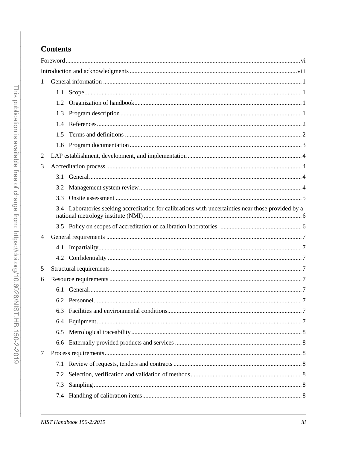# **Contents**

| 1 |     |                                                                                                     |  |  |  |  |  |
|---|-----|-----------------------------------------------------------------------------------------------------|--|--|--|--|--|
|   | 1.1 |                                                                                                     |  |  |  |  |  |
|   | 1.2 |                                                                                                     |  |  |  |  |  |
|   | 1.3 |                                                                                                     |  |  |  |  |  |
|   | 1.4 |                                                                                                     |  |  |  |  |  |
|   | 1.5 |                                                                                                     |  |  |  |  |  |
|   | 1.6 |                                                                                                     |  |  |  |  |  |
| 2 |     |                                                                                                     |  |  |  |  |  |
| 3 |     |                                                                                                     |  |  |  |  |  |
|   |     |                                                                                                     |  |  |  |  |  |
|   | 3.2 |                                                                                                     |  |  |  |  |  |
|   | 3.3 |                                                                                                     |  |  |  |  |  |
|   |     | 3.4 Laboratories seeking accreditation for calibrations with uncertainties near those provided by a |  |  |  |  |  |
|   |     |                                                                                                     |  |  |  |  |  |
| 4 |     |                                                                                                     |  |  |  |  |  |
|   | 4.1 |                                                                                                     |  |  |  |  |  |
|   |     |                                                                                                     |  |  |  |  |  |
| 5 |     |                                                                                                     |  |  |  |  |  |
| 6 |     |                                                                                                     |  |  |  |  |  |
|   | 6.1 |                                                                                                     |  |  |  |  |  |
|   |     |                                                                                                     |  |  |  |  |  |
|   |     |                                                                                                     |  |  |  |  |  |
|   | 6.4 |                                                                                                     |  |  |  |  |  |
|   | 6.5 |                                                                                                     |  |  |  |  |  |
|   | 6.6 |                                                                                                     |  |  |  |  |  |
| 7 |     |                                                                                                     |  |  |  |  |  |
|   | 7.1 |                                                                                                     |  |  |  |  |  |
|   | 7.2 |                                                                                                     |  |  |  |  |  |
|   | 7.3 |                                                                                                     |  |  |  |  |  |
|   | 7.4 |                                                                                                     |  |  |  |  |  |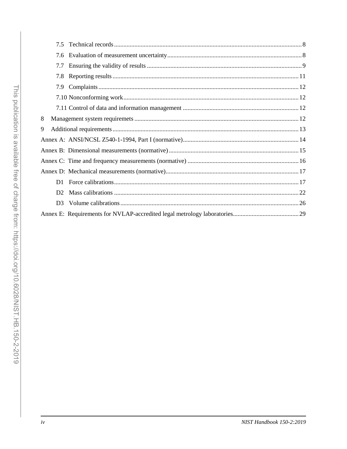| 7.6            |  |  |  |  |  |  |
|----------------|--|--|--|--|--|--|
| 7.7            |  |  |  |  |  |  |
| 7.8            |  |  |  |  |  |  |
| 7.9            |  |  |  |  |  |  |
|                |  |  |  |  |  |  |
|                |  |  |  |  |  |  |
| 8              |  |  |  |  |  |  |
| 9              |  |  |  |  |  |  |
|                |  |  |  |  |  |  |
|                |  |  |  |  |  |  |
|                |  |  |  |  |  |  |
|                |  |  |  |  |  |  |
|                |  |  |  |  |  |  |
| D2             |  |  |  |  |  |  |
| D <sub>3</sub> |  |  |  |  |  |  |
|                |  |  |  |  |  |  |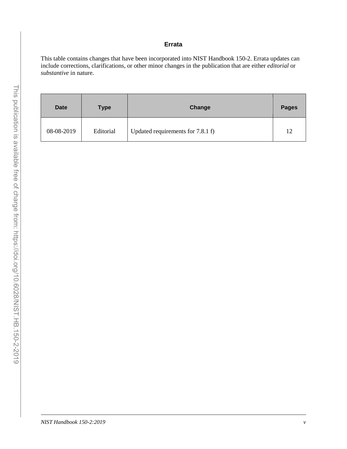#### **Errata**

This table contains changes that have been incorporated into NIST Handbook 150-2. Errata updates can include corrections, clarifications, or other minor changes in the publication that are either *editorial* or *substantive* in nature.

| <b>Date</b> | <b>Type</b> | Change                            | <b>Pages</b> |
|-------------|-------------|-----------------------------------|--------------|
| 08-08-2019  | Editorial   | Updated requirements for 7.8.1 f) | 12           |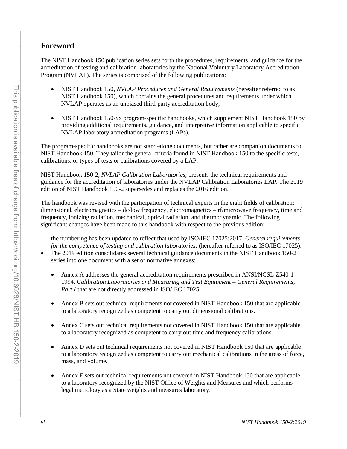# <span id="page-7-0"></span>**Foreword**

The NIST Handbook 150 publication series sets forth the procedures, requirements, and guidance for the accreditation of testing and calibration laboratories by the National Voluntary Laboratory Accreditation Program (NVLAP). The series is comprised of the following publications:

- NIST Handbook 150, *NVLAP Procedures and General Requirements* (hereafter referred to as NIST Handbook 150), which contains the general procedures and requirements under which NVLAP operates as an unbiased third-party accreditation body;
- NIST Handbook 150-xx program-specific handbooks, which supplement NIST Handbook 150 by providing additional requirements, guidance, and interpretive information applicable to specific NVLAP laboratory accreditation programs (LAPs).

The program-specific handbooks are not stand-alone documents, but rather are companion documents to NIST Handbook 150. They tailor the general criteria found in NIST Handbook 150 to the specific tests, calibrations, or types of tests or calibrations covered by a LAP.

NIST Handbook 150-2, *NVLAP Calibration Laboratories,* presents the technical requirements and guidance for the accreditation of laboratories under the NVLAP Calibration Laboratories LAP. The 2019 edition of NIST Handbook 150-2 supersedes and replaces the 2016 edition.

The handbook was revised with the participation of technical experts in the eight fields of calibration: dimensional, electromagnetics – dc/low frequency, electromagnetics – rf/microwave frequency, time and frequency, ionizing radiation, mechanical, optical radiation, and thermodynamic. The following significant changes have been made to this handbook with respect to the previous edition:

the numbering has been updated to reflect that used by ISO/IEC 17025:2017, *General requirements for the competence of testing and calibration laboratories*; (hereafter referred to as ISO/IEC 17025).

- The 2019 edition consolidates several technical guidance documents in the NIST Handbook 150-2 series into one document with a set of normative annexes.
	- Annex A addresses the general accreditation requirements prescribed in ANSI/NCSL Z540-1-1994, *Calibration Laboratories and Measuring and Test Equipment – General Requirements, Part I* that are not directly addressed in ISO/IEC 17025.
	- Annex B sets out technical requirements not covered in NIST Handbook 150 that are applicable to a laboratory recognized as competent to carry out dimensional calibrations.
	- Annex C sets out technical requirements not covered in NIST Handbook 150 that are applicable to a laboratory recognized as competent to carry out time and frequency calibrations.
	- Annex D sets out technical requirements not covered in NIST Handbook 150 that are applicable to a laboratory recognized as competent to carry out mechanical calibrations in the areas of force, mass, and volume.
	- Annex E sets out technical requirements not covered in NIST Handbook 150 that are applicable to a laboratory recognized by the NIST Office of Weights and Measures and which performs legal metrology as a State weights and measures laboratory.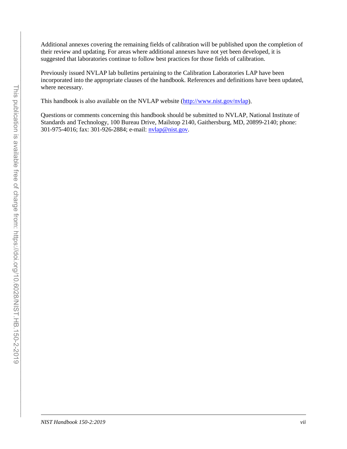Additional annexes covering the remaining fields of calibration will be published upon the completion of their review and updating. For areas where additional annexes have not yet been developed, it is suggested that laboratories continue to follow best practices for those fields of calibration.

Previously issued NVLAP lab bulletins pertaining to the Calibration Laboratories LAP have been incorporated into the appropriate clauses of the handbook. References and definitions have been updated, where necessary.

This handbook is also available on the NVLAP website [\(http://www.nist.gov/nvlap\)](http://www.nist.gov/nvlap).

Questions or comments concerning this handbook should be submitted to NVLAP, National Institute of Standards and Technology, 100 Bureau Drive, Mailstop 2140, Gaithersburg, MD, 20899-2140; phone: 301-975-4016; fax: 301-926-2884; e-mail: [nvlap@nist.gov.](mailto:nvlap@nist.gov)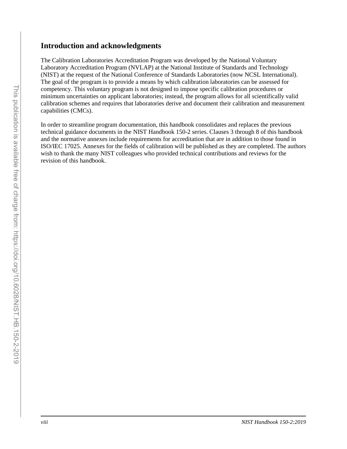# <span id="page-9-0"></span>**Introduction and acknowledgments**

The Calibration Laboratories Accreditation Program was developed by the National Voluntary Laboratory Accreditation Program (NVLAP) at the National Institute of Standards and Technology (NIST) at the request of the National Conference of Standards Laboratories (now NCSL International). The goal of the program is to provide a means by which calibration laboratories can be assessed for competency. This voluntary program is not designed to impose specific calibration procedures or minimum uncertainties on applicant laboratories; instead, the program allows for all scientifically valid calibration schemes and requires that laboratories derive and document their calibration and measurement capabilities (CMCs).

In order to streamline program documentation, this handbook consolidates and replaces the previous technical guidance documents in the NIST Handbook 150-2 series. Clauses 3 through 8 of this handbook and the normative annexes include requirements for accreditation that are in addition to those found in ISO/IEC 17025. Annexes for the fields of calibration will be published as they are completed. The authors wish to thank the many NIST colleagues who provided technical contributions and reviews for the revision of this handbook.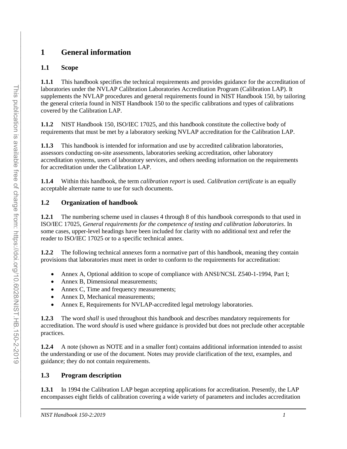# <span id="page-10-0"></span>**1 General information**

# <span id="page-10-1"></span>**1.1 Scope**

**1.1.1** This handbook specifies the technical requirements and provides guidance for the accreditation of laboratories under the NVLAP Calibration Laboratories Accreditation Program (Calibration LAP). It supplements the NVLAP procedures and general requirements found in NIST Handbook 150, by tailoring the general criteria found in NIST Handbook 150 to the specific calibrations and types of calibrations covered by the Calibration LAP.

**1.1.2** NIST Handbook 150, ISO/IEC 17025, and this handbook constitute the collective body of requirements that must be met by a laboratory seeking NVLAP accreditation for the Calibration LAP.

**1.1.3** This handbook is intended for information and use by accredited calibration laboratories, assessors conducting on-site assessments, laboratories seeking accreditation, other laboratory accreditation systems, users of laboratory services, and others needing information on the requirements for accreditation under the Calibration LAP.

**1.1.4** Within this handbook, the term *calibration report* is used. *Calibration certificate* is an equally acceptable alternate name to use for such documents.

# <span id="page-10-2"></span>**1.2 Organization of handbook**

**1.2.1** The numbering scheme used in clauses 4 through 8 of this handbook corresponds to that used in ISO/IEC 17025, *General requirements for the competence of testing and calibration laboratories*. In some cases, upper-level headings have been included for clarity with no additional text and refer the reader to ISO/IEC 17025 or to a specific technical annex.

**1.2.2** The following technical annexes form a normative part of this handbook, meaning they contain provisions that laboratories must meet in order to conform to the requirements for accreditation:

- Annex A, Optional addition to scope of compliance with ANSI/NCSL Z540-1-1994, Part I;
- Annex B, Dimensional measurements;
- Annex C, Time and frequency measurements;
- Annex D, Mechanical measurements;
- Annex E, Requirements for NVLAP-accredited legal metrology laboratories.

**1.2.3** The word *shall* is used throughout this handbook and describes mandatory requirements for accreditation. The word *should* is used where guidance is provided but does not preclude other acceptable practices.

**1.2.4** A note (shown as NOTE and in a smaller font) contains additional information intended to assist the understanding or use of the document. Notes may provide clarification of the text, examples, and guidance; they do not contain requirements.

# <span id="page-10-3"></span>**1.3 Program description**

**1.3.1** In 1994 the Calibration LAP began accepting applications for accreditation. Presently, the LAP encompasses eight fields of calibration covering a wide variety of parameters and includes accreditation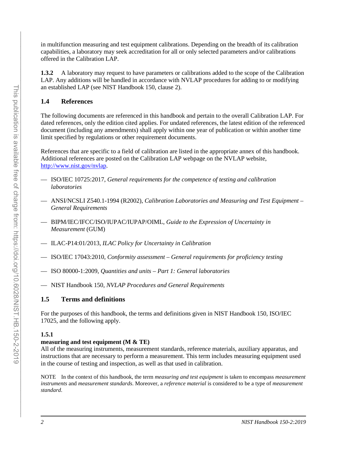in multifunction measuring and test equipment calibrations. Depending on the breadth of its calibration capabilities, a laboratory may seek accreditation for all or only selected parameters and/or calibrations offered in the Calibration LAP.

**1.3.2** A laboratory may request to have parameters or calibrations added to the scope of the Calibration LAP. Any additions will be handled in accordance with NVLAP procedures for adding to or modifying an established LAP (see NIST Handbook 150, clause 2).

# <span id="page-11-0"></span>**1.4 References**

The following documents are referenced in this handbook and pertain to the overall Calibration LAP. For dated references, only the edition cited applies. For undated references, the latest edition of the referenced document (including any amendments) shall apply within one year of publication or within another time limit specified by regulations or other requirement documents.

References that are specific to a field of calibration are listed in the appropriate annex of this handbook. Additional references are posted on the Calibration LAP webpage on the NVLAP website, [http://www.nist.gov/nvlap.](http://www.nist.gov/nvlap)

- ISO/IEC 10725:2017, *General requirements for the competence of testing and calibration laboratories*
- ANSI/NCSLI Z540.1-1994 (R2002), *Calibration Laboratories and Measuring and Test Equipment General Requirements*
- BIPM/IEC/IFCC/ISO/IUPAC/IUPAP/OIML, *Guide to the Expression of Uncertainty in Measurement* (GUM)
- ILAC-P14:01/2013, *ILAC Policy for Uncertainty in Calibration*
- ISO/IEC 17043:2010, *Conformity assessment General requirements for proficiency testing*
- ISO 80000-1:2009, *Quantities and units Part 1: General laboratories*
- NIST Handbook 150, *NVLAP Procedures and General Requirements*

# <span id="page-11-1"></span>**1.5 Terms and definitions**

For the purposes of this handbook, the terms and definitions given in NIST Handbook 150, ISO/IEC 17025, and the following apply.

# **1.5.1**

# **measuring and test equipment (M & TE)**

All of the measuring instruments, measurement standards, reference materials, auxiliary apparatus, and instructions that are necessary to perform a measurement. This term includes measuring equipment used in the course of testing and inspection, as well as that used in calibration.

NOTE In the context of this handbook, the term *measuring and test equipment* is taken to encompass *measurement instruments* and *measurement standards*. Moreover, a *reference material* is considered to be a type of *measurement standard*.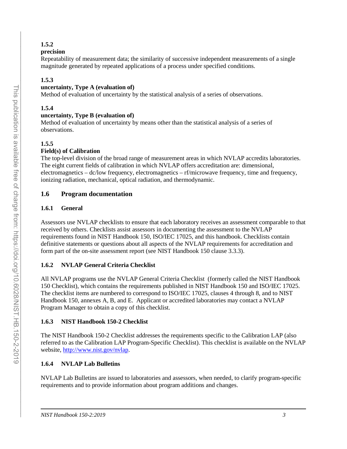# **1.5.2**

# **precision**

Repeatability of measurement data; the similarity of successive independent measurements of a single magnitude generated by repeated applications of a process under specified conditions.

# **1.5.3**

# **uncertainty, Type A (evaluation of)**

Method of evaluation of uncertainty by the statistical analysis of a series of observations.

# **1.5.4**

# **uncertainty, Type B (evaluation of)**

Method of evaluation of uncertainty by means other than the statistical analysis of a series of observations.

# **1.5.5**

# **Field(s) of Calibration**

The top-level division of the broad range of measurement areas in which NVLAP accredits laboratories. The eight current fields of calibration in which NVLAP offers accreditation are: dimensional, electromagnetics – dc/low frequency, electromagnetics – rf/microwave frequency, time and frequency, ionizing radiation, mechanical, optical radiation, and thermodynamic.

# <span id="page-12-0"></span>**1.6 Program documentation**

# **1.6.1 General**

Assessors use NVLAP checklists to ensure that each laboratory receives an assessment comparable to that received by others. Checklists assist assessors in documenting the assessment to the NVLAP requirements found in NIST Handbook 150, ISO/IEC 17025, and this handbook. Checklists contain definitive statements or questions about all aspects of the NVLAP requirements for accreditation and form part of the on-site assessment report (see NIST Handbook 150 clause 3.3.3).

# **1.6.2 NVLAP General Criteria Checklist**

All NVLAP programs use the NVLAP General Criteria Checklist (formerly called the NIST Handbook 150 Checklist), which contains the requirements published in NIST Handbook 150 and ISO/IEC 17025. The checklist items are numbered to correspond to ISO/IEC 17025, clauses 4 through 8, and to NIST Handbook 150, annexes A, B, and E. Applicant or accredited laboratories may contact a NVLAP Program Manager to obtain a copy of this checklist.

# **1.6.3 NIST Handbook 150-2 Checklist**

The NIST Handbook 150-2 Checklist addresses the requirements specific to the Calibration LAP (also referred to as the Calibration LAP Program-Specific Checklist). This checklist is available on the NVLAP website, [http://www.nist.gov/nvlap.](http://www.nist.gov/nvlap)

# **1.6.4 NVLAP Lab Bulletins**

NVLAP Lab Bulletins are issued to laboratories and assessors, when needed, to clarify program-specific requirements and to provide information about program additions and changes.

 $\mathcal{L}_\text{max} = \mathcal{L}_\text{max} = \mathcal{L}_\text{max} = \mathcal{L}_\text{max} = \mathcal{L}_\text{max} = \mathcal{L}_\text{max} = \mathcal{L}_\text{max} = \mathcal{L}_\text{max} = \mathcal{L}_\text{max} = \mathcal{L}_\text{max} = \mathcal{L}_\text{max} = \mathcal{L}_\text{max} = \mathcal{L}_\text{max} = \mathcal{L}_\text{max} = \mathcal{L}_\text{max} = \mathcal{L}_\text{max} = \mathcal{L}_\text{max} = \mathcal{L}_\text{max} = \mathcal{$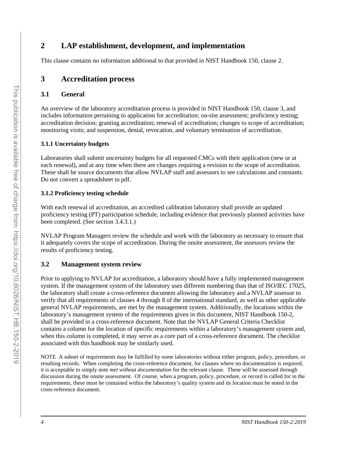# <span id="page-13-0"></span>**2 LAP establishment, development, and implementation**

This clause contains no information additional to that provided in NIST Handbook 150, clause 2.

# <span id="page-13-1"></span>**3 Accreditation process**

#### <span id="page-13-2"></span>**3.1 General**

An overview of the laboratory accreditation process is provided in NIST Handbook 150, clause 3, and includes information pertaining to application for accreditation; on-site assessment; proficiency testing; accreditation decision; granting accreditation; renewal of accreditation; changes to scope of accreditation; monitoring visits; and suspension, denial, revocation, and voluntary termination of accreditation.

#### **3.1.1 Uncertainty budgets**

Laboratories shall submit uncertainty budgets for all requested CMCs with their application (new or at each renewal), and at any time when there are changes requiring a revision to the scope of accreditation. These shall be source documents that allow NVLAP staff and assessors to see calculations and constants. Do not convert a spreadsheet to pdf.

#### **3.1.2 Proficiency testing schedule**

With each renewal of accreditation, an accredited calibration laboratory shall provide an updated proficiency testing (PT) participation schedule, including evidence that previously planned activities have been completed. (See section 3.4.3.1.)

NVLAP Program Managers review the schedule and work with the laboratory as necessary to ensure that it adequately covers the scope of accreditation. During the onsite assessment, the assessors review the results of proficiency testing.

# <span id="page-13-3"></span>**3.2 Management system review**

Prior to applying to NVLAP for accreditation, a laboratory should have a fully implemented management system. If the management system of the laboratory uses different numbering than that of ISO/IEC 17025, the laboratory shall create a cross-reference document allowing the laboratory and a NVLAP assessor to verify that all requirements of clauses 4 through 8 of the international standard, as well as other applicable general NVLAP requirements, are met by the management system. Additionally, the locations within the laboratory's management system of the requirements given in this document, NIST Handbook 150-2, shall be provided in a cross-reference document. Note that the NVLAP General Criteria Checklist contains a column for the location of specific requirements within a laboratory's management system and, when this column is completed, it may serve as a core part of a cross-reference document. The checklist associated with this handbook may be similarly used.

NOTE A subset of requirements may be fulfilled by some laboratories without either program, policy, procedure, or resulting records. When completing the cross-reference document, for clauses where no documentation is required, it is acceptable to simply note *met without documentation* for the relevant clause. These will be assessed through discussion during the onsite assessment. Of course, when a program, policy, procedure, or record is called for in the requirements, these must be contained within the laboratory's quality system and its location must be noted in the cross-reference document.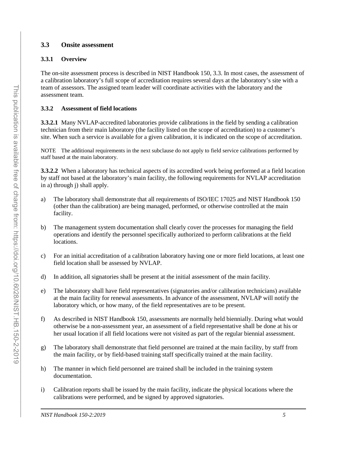# <span id="page-14-0"></span>**3.3 Onsite assessment**

# **3.3.1 Overview**

The on-site assessment process is described in NIST Handbook 150, 3.3. In most cases, the assessment of a calibration laboratory's full scope of accreditation requires several days at the laboratory's site with a team of assessors. The assigned team leader will coordinate activities with the laboratory and the assessment team.

# **3.3.2 Assessment of field locations**

**3.3.2.1** Many NVLAP-accredited laboratories provide calibrations in the field by sending a calibration technician from their main laboratory (the facility listed on the scope of accreditation) to a customer's site. When such a service is available for a given calibration, it is indicated on the scope of accreditation.

NOTE The additional requirements in the next subclause do not apply to field service calibrations performed by staff based at the main laboratory.

**3.3.2.2** When a laboratory has technical aspects of its accredited work being performed at a field location by staff not based at the laboratory's main facility, the following requirements for NVLAP accreditation in a) through j) shall apply.

- a) The laboratory shall demonstrate that all requirements of ISO/IEC 17025 and NIST Handbook 150 (other than the calibration) are being managed, performed, or otherwise controlled at the main facility.
- b) The management system documentation shall clearly cover the processes for managing the field operations and identify the personnel specifically authorized to perform calibrations at the field locations.
- c) For an initial accreditation of a calibration laboratory having one or more field locations, at least one field location shall be assessed by NVLAP.
- d) In addition, all signatories shall be present at the initial assessment of the main facility.
- e) The laboratory shall have field representatives (signatories and/or calibration technicians) available at the main facility for renewal assessments. In advance of the assessment, NVLAP will notify the laboratory which, or how many, of the field representatives are to be present.
- f) As described in NIST Handbook 150, assessments are normally held biennially. During what would otherwise be a non-assessment year, an assessment of a field representative shall be done at his or her usual location if all field locations were not visited as part of the regular biennial assessment.
- g) The laboratory shall demonstrate that field personnel are trained at the main facility, by staff from the main facility, or by field-based training staff specifically trained at the main facility.
- h) The manner in which field personnel are trained shall be included in the training system documentation.
- i) Calibration reports shall be issued by the main facility, indicate the physical locations where the calibrations were performed, and be signed by approved signatories.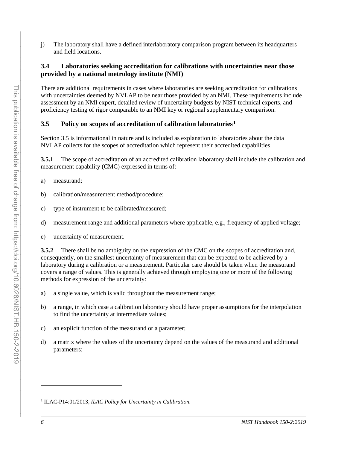j) The laboratory shall have a defined interlaboratory comparison program between its headquarters and field locations.

#### <span id="page-15-0"></span>**3.4 Laboratories seeking accreditation for calibrations with uncertainties near those provided by a national metrology institute (NMI)**

There are additional requirements in cases where laboratories are seeking accreditation for calibrations with uncertainties deemed by NVLAP to be near those provided by an NMI. These requirements include assessment by an NMI expert, detailed review of uncertainty budgets by NIST technical experts, and proficiency testing of rigor comparable to an NMI key or regional supplementary comparison.

#### <span id="page-15-1"></span>**3.5 Policy on scopes of accreditation of calibration laboratories [1](#page-15-2)**

Section 3.5 is informational in nature and is included as explanation to laboratories about the data NVLAP collects for the scopes of accreditation which represent their accredited capabilities.

**3.5.1** The scope of accreditation of an accredited calibration laboratory shall include the calibration and measurement capability (CMC) expressed in terms of:

- a) measurand;
- b) calibration/measurement method/procedure;
- c) type of instrument to be calibrated/measured;
- d) measurement range and additional parameters where applicable, e.g., frequency of applied voltage;
- e) uncertainty of measurement.

**3.5.2** There shall be no ambiguity on the expression of the CMC on the scopes of accreditation and, consequently, on the smallest uncertainty of measurement that can be expected to be achieved by a laboratory during a calibration or a measurement. Particular care should be taken when the measurand covers a range of values. This is generally achieved through employing one or more of the following methods for expression of the uncertainty:

- a) a single value, which is valid throughout the measurement range;
- b) a range, in which case a calibration laboratory should have proper assumptions for the interpolation to find the uncertainty at intermediate values;
- c) an explicit function of the measurand or a parameter;
- d) a matrix where the values of the uncertainty depend on the values of the measurand and additional parameters;

<span id="page-15-2"></span><sup>1</sup> ILAC-P14:01/2013, *ILAC Policy for Uncertainty in Calibration.* 

 $\overline{a}$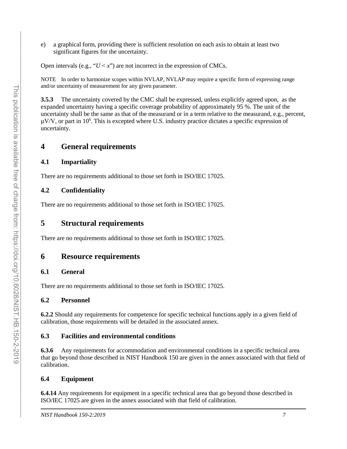e) a graphical form, providing there is sufficient resolution on each axis to obtain at least two significant figures for the uncertainty.

Open intervals (e.g., " $U \lt x$ ") are not incorrect in the expression of CMCs.

NOTE In order to harmonize scopes within NVLAP, NVLAP may require a specific form of expressing range and/or uncertainty of measurement for any given parameter.

**3.5.3** The uncertainty covered by the CMC shall be expressed, unless explicitly agreed upon, as the expanded uncertainty having a specific coverage probability of approximately 95 %. The unit of the uncertainty shall be the same as that of the measurand or in a term relative to the measurand, e.g., percent,  $\mu$ V/V, or part in 10<sup>6</sup>. This is excepted where U.S. industry practice dictates a specific expression of uncertainty.

# <span id="page-16-0"></span>**4 General requirements**

#### <span id="page-16-1"></span>**4.1 Impartiality**

There are no requirements additional to those set forth in ISO/IEC 17025.

# <span id="page-16-2"></span>**4.2 Confidentiality**

There are no requirements additional to those set forth in ISO/IEC 17025.

# <span id="page-16-3"></span>**5 Structural requirements**

There are no requirements additional to those set forth in ISO/IEC 17025.

# <span id="page-16-4"></span>**6 Resource requirements**

#### <span id="page-16-5"></span>**6.1 General**

There are no requirements additional to those set forth in ISO/IEC 17025.

#### <span id="page-16-6"></span>**6.2 Personnel**

**6.2.2** Should any requirements for competence for specific technical functions apply in a given field of calibration, those requirements will be detailed in the associated annex.

#### <span id="page-16-7"></span>**6.3 Facilities and environmental conditions**

**6.3.6** Any requirements for accommodation and environmental conditions in a specific technical area that go beyond those described in NIST Handbook 150 are given in the annex associated with that field of calibration.

# <span id="page-16-8"></span>**6.4 Equipment**

**6.4.14** Any requirements for equipment in a specific technical area that go beyond those described in ISO/IEC 17025 are given in the annex associated with that field of calibration.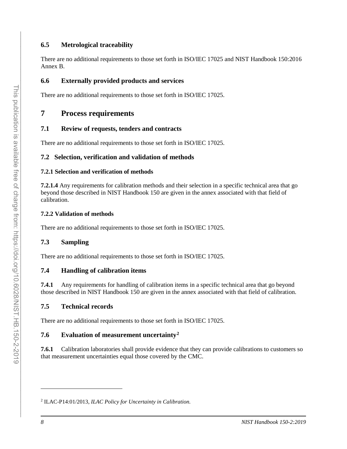# <span id="page-17-0"></span>**6.5 Metrological traceability**

There are no additional requirements to those set forth in ISO/IEC 17025 and NIST Handbook 150:2016 Annex B.

# <span id="page-17-1"></span>**6.6 Externally provided products and services**

There are no additional requirements to those set forth in ISO/IEC 17025.

# <span id="page-17-2"></span>**7 Process requirements**

# <span id="page-17-3"></span>**7.1 Review of requests, tenders and contracts**

There are no additional requirements to those set forth in ISO/IEC 17025.

# <span id="page-17-4"></span>**7.2 Selection, verification and validation of methods**

#### **7.2.1 Selection and verification of methods**

**7.2.1.4** Any requirements for calibration methods and their selection in a specific technical area that go beyond those described in NIST Handbook 150 are given in the annex associated with that field of calibration.

#### **7.2.2 Validation of methods**

There are no additional requirements to those set forth in ISO/IEC 17025.

# <span id="page-17-5"></span>**7.3 Sampling**

There are no additional requirements to those set forth in ISO/IEC 17025.

#### <span id="page-17-6"></span>**7.4 Handling of calibration items**

**7.4.1** Any requirements for handling of calibration items in a specific technical area that go beyond those described in NIST Handbook 150 are given in the annex associated with that field of calibration.

# <span id="page-17-7"></span>**7.5 Technical records**

There are no additional requirements to those set forth in ISO/IEC 17025.

# <span id="page-17-8"></span>**7.6 Evaluation of measurement uncertainty[2](#page-17-9)**

**7.6.1** Calibration laboratories shall provide evidence that they can provide calibrations to customers so that measurement uncertainties equal those covered by the CMC.

 $\overline{a}$ 

<span id="page-17-9"></span><sup>2</sup> ILAC-P14:01/2013, *ILAC Policy for Uncertainty in Calibration.*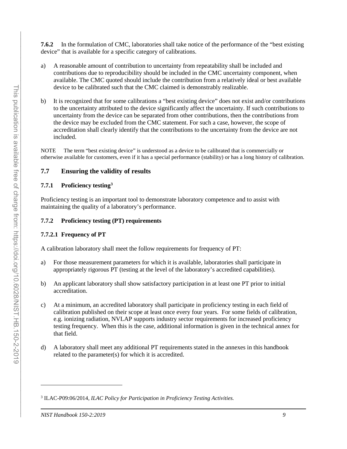**7.6.2** In the formulation of CMC, laboratories shall take notice of the performance of the "best existing device" that is available for a specific category of calibrations.

- a) A reasonable amount of contribution to uncertainty from repeatability shall be included and contributions due to reproducibility should be included in the CMC uncertainty component, when available. The CMC quoted should include the contribution from a relatively ideal or best available device to be calibrated such that the CMC claimed is demonstrably realizable.
- b) It is recognized that for some calibrations a "best existing device" does not exist and/or contributions to the uncertainty attributed to the device significantly affect the uncertainty. If such contributions to uncertainty from the device can be separated from other contributions, then the contributions from the device may be excluded from the CMC statement. For such a case, however, the scope of accreditation shall clearly identify that the contributions to the uncertainty from the device are not included.

NOTE The term "best existing device" is understood as a device to be calibrated that is commercially or otherwise available for customers, even if it has a special performance (stability) or has a long history of calibration.

# <span id="page-18-0"></span>**7.7 Ensuring the validity of results**

### **7.7.1 Proficiency testing[3](#page-18-1)**

Proficiency testing is an important tool to demonstrate laboratory competence and to assist with maintaining the quality of a laboratory's performance.

#### **7.7.2 Proficiency testing (PT) requirements**

# **7.7.2.1 Frequency of PT**

A calibration laboratory shall meet the follow requirements for frequency of PT:

- a) For those measurement parameters for which it is available, laboratories shall participate in appropriately rigorous PT (testing at the level of the laboratory's accredited capabilities).
- b) An applicant laboratory shall show satisfactory participation in at least one PT prior to initial accreditation.
- c) At a minimum, an accredited laboratory shall participate in proficiency testing in each field of calibration published on their scope at least once every four years. For some fields of calibration, e.g. ionizing radiation, NVLAP supports industry sector requirements for increased proficiency testing frequency. When this is the case, additional information is given in the technical annex for that field.
- d) A laboratory shall meet any additional PT requirements stated in the annexes in this handbook related to the parameter(s) for which it is accredited.

 $\overline{a}$ 

<span id="page-18-1"></span><sup>3</sup> ILAC-P09:06/2014, *ILAC Policy for Participation in Proficiency Testing Activities.*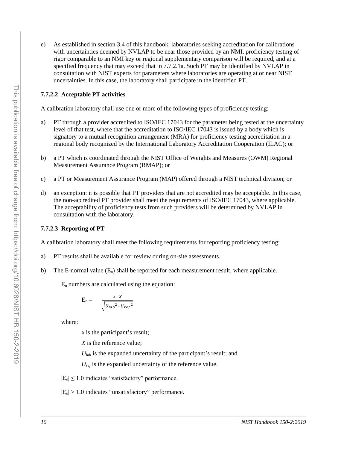e) As established in section 3.4 of this handbook, laboratories seeking accreditation for calibrations with uncertainties deemed by NVLAP to be near those provided by an NMI, proficiency testing of rigor comparable to an NMI key or regional supplementary comparison will be required, and at a specified frequency that may exceed that in 7.7.2.1a. Such PT may be identified by NVLAP in consultation with NIST experts for parameters where laboratories are operating at or near NIST uncertainties. In this case, the laboratory shall participate in the identified PT.

#### **7.7.2.2 Acceptable PT activities**

A calibration laboratory shall use one or more of the following types of proficiency testing:

- a) PT through a provider accredited to ISO/IEC 17043 for the parameter being tested at the uncertainty level of that test, where that the accreditation to ISO/IEC 17043 is issued by a body which is signatory to a mutual recognition arrangement (MRA) for proficiency testing accreditation in a regional body recognized by the International Laboratory Accreditation Cooperation (ILAC); or
- b) a PT which is coordinated through the NIST Office of Weights and Measures (OWM) Regional Measurement Assurance Program (RMAP); or
- c) a PT or Measurement Assurance Program (MAP) offered through a NIST technical division; or
- d) an exception: it is possible that PT providers that are not accredited may be acceptable. In this case, the non-accredited PT provider shall meet the requirements of ISO/IEC 17043, where applicable. The acceptability of proficiency tests from such providers will be determined by NVLAP in consultation with the laboratory.

#### **7.7.2.3 Reporting of PT**

A calibration laboratory shall meet the following requirements for reporting proficiency testing:

- a) PT results shall be available for review during on-site assessments.
- b) The E-normal value  $(E_n)$  shall be reported for each measurement result, where applicable.

 $E_n$  numbers are calculated using the equation:

$$
E_n = \frac{x - x}{\sqrt{U_{lab}^2 + U_{ref}^2}}
$$

where:

*x* is the participant's result;

*X* is the reference value;

*Ulab* is the expanded uncertainty of the participant's result; and

*Uref* is the expanded uncertainty of the reference value.

 $|E_n| \leq 1.0$  indicates "satisfactory" performance.

 $|E_n| > 1.0$  indicates "unsatisfactory" performance.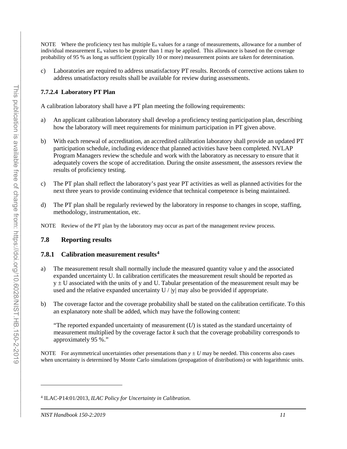NOTE Where the proficiency test has multiple  $E_n$  values for a range of measurements, allowance for a number of individual measurement En values to be greater than 1 may be applied. This allowance is based on the coverage probability of 95 % as long as sufficient (typically 10 or more) measurement points are taken for determination.

c) Laboratories are required to address unsatisfactory PT results. Records of corrective actions taken to address unsatisfactory results shall be available for review during assessments.

### **7.7.2.4 Laboratory PT Plan**

A calibration laboratory shall have a PT plan meeting the following requirements:

- a) An applicant calibration laboratory shall develop a proficiency testing participation plan, describing how the laboratory will meet requirements for minimum participation in PT given above.
- b) With each renewal of accreditation, an accredited calibration laboratory shall provide an updated PT participation schedule, including evidence that planned activities have been completed. NVLAP Program Managers review the schedule and work with the laboratory as necessary to ensure that it adequately covers the scope of accreditation. During the onsite assessment, the assessors review the results of proficiency testing.
- c) The PT plan shall reflect the laboratory's past year PT activities as well as planned activities for the next three years to provide continuing evidence that technical competence is being maintained.
- d) The PT plan shall be regularly reviewed by the laboratory in response to changes in scope, staffing, methodology, instrumentation, etc.

NOTE Review of the PT plan by the laboratory may occur as part of the management review process.

#### <span id="page-20-0"></span>**7.8 Reporting results**

#### **7.8.1 Calibration measurement results[4](#page-20-1)**

- a) The measurement result shall normally include the measured quantity value y and the associated expanded uncertainty U. In calibration certificates the measurement result should be reported as  $y \pm U$  associated with the units of y and U. Tabular presentation of the measurement result may be used and the relative expanded uncertainty  $U / |y|$  may also be provided if appropriate.
- b) The coverage factor and the coverage probability shall be stated on the calibration certificate. To this an explanatory note shall be added, which may have the following content:

"The reported expanded uncertainty of measurement  $(U)$  is stated as the standard uncertainty of measurement multiplied by the coverage factor *k* such that the coverage probability corresponds to approximately 95 %."

NOTE For asymmetrical uncertainties other presentations than  $y \pm U$  may be needed. This concerns also cases when uncertainty is determined by Monte Carlo simulations (propagation of distributions) or with logarithmic units.

 $\overline{a}$ 

<span id="page-20-1"></span><sup>4</sup> ILAC-P14:01/2013, *ILAC Policy for Uncertainty in Calibration.*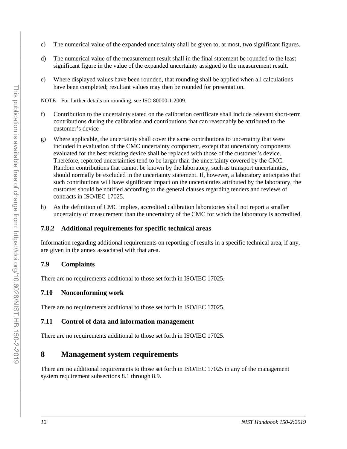- c) The numerical value of the expanded uncertainty shall be given to, at most, two significant figures.
- d) The numerical value of the measurement result shall in the final statement be rounded to the least significant figure in the value of the expanded uncertainty assigned to the measurement result.
- e) Where displayed values have been rounded, that rounding shall be applied when all calculations have been completed; resultant values may then be rounded for presentation.

NOTE For further details on rounding, see ISO 80000-1:2009.

- f) Contribution to the uncertainty stated on the calibration certificate shall include relevant short-term contributions during the calibration and contributions that can reasonably be attributed to the customer's device
- g) Where applicable, the uncertainty shall cover the same contributions to uncertainty that were included in evaluation of the CMC uncertainty component, except that uncertainty components evaluated for the best existing device shall be replaced with those of the customer's device. Therefore, reported uncertainties tend to be larger than the uncertainty covered by the CMC. Random contributions that cannot be known by the laboratory, such as transport uncertainties, should normally be excluded in the uncertainty statement. If, however, a laboratory anticipates that such contributions will have significant impact on the uncertainties attributed by the laboratory, the customer should be notified according to the general clauses regarding tenders and reviews of contracts in ISO/IEC 17025.
- h) As the definition of CMC implies, accredited calibration laboratories shall not report a smaller uncertainty of measurement than the uncertainty of the CMC for which the laboratory is accredited.

# **7.8.2 Additional requirements for specific technical areas**

Information regarding additional requirements on reporting of results in a specific technical area, if any, are given in the annex associated with that area.

# <span id="page-21-0"></span>**7.9 Complaints**

There are no requirements additional to those set forth in ISO/IEC 17025.

# <span id="page-21-1"></span>**7.10 Nonconforming work**

There are no requirements additional to those set forth in ISO/IEC 17025.

# <span id="page-21-2"></span>**7.11 Control of data and information management**

There are no requirements additional to those set forth in ISO/IEC 17025.

# <span id="page-21-3"></span>**8 Management system requirements**

There are no additional requirements to those set forth in ISO/IEC 17025 in any of the management system requirement subsections 8.1 through 8.9.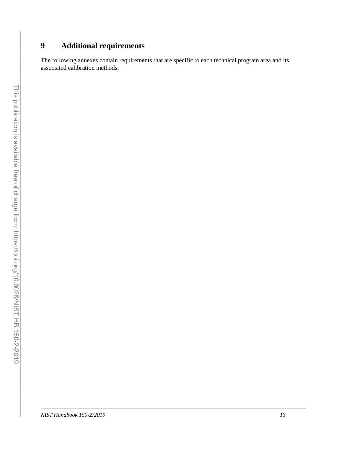# <span id="page-22-0"></span>**9 Additional requirements**

The following annexes contain requirements that are specific to each technical program area and its associated calibration methods.

 $\mathcal{L}_\text{max} = \mathcal{L}_\text{max} = \mathcal{L}_\text{max} = \mathcal{L}_\text{max} = \mathcal{L}_\text{max} = \mathcal{L}_\text{max} = \mathcal{L}_\text{max} = \mathcal{L}_\text{max} = \mathcal{L}_\text{max} = \mathcal{L}_\text{max} = \mathcal{L}_\text{max} = \mathcal{L}_\text{max} = \mathcal{L}_\text{max} = \mathcal{L}_\text{max} = \mathcal{L}_\text{max} = \mathcal{L}_\text{max} = \mathcal{L}_\text{max} = \mathcal{L}_\text{max} = \mathcal{$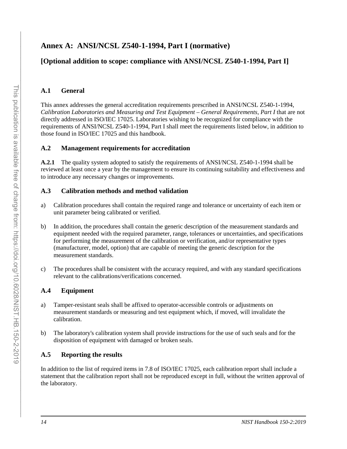# <span id="page-23-0"></span>**Annex A: ANSI/NCSL Z540-1-1994, Part I (normative)**

# **[Optional addition to scope: compliance with ANSI/NCSL Z540-1-1994, Part I]**

### **A.1 General**

This annex addresses the general accreditation requirements prescribed in ANSI/NCSL Z540-1-1994, *Calibration Laboratories and Measuring and Test Equipment – General Requirements, Part I* that are not directly addressed in ISO/IEC 17025. Laboratories wishing to be recognized for compliance with the requirements of ANSI/NCSL Z540-1-1994, Part I shall meet the requirements listed below, in addition to those found in ISO/IEC 17025 and this handbook.

# **A.2 Management requirements for accreditation**

**A.2.1** The quality system adopted to satisfy the requirements of ANSI/NCSL Z540-1-1994 shall be reviewed at least once a year by the management to ensure its continuing suitability and effectiveness and to introduce any necessary changes or improvements.

#### **A.3 Calibration methods and method validation**

- a) Calibration procedures shall contain the required range and tolerance or uncertainty of each item or unit parameter being calibrated or verified.
- b) In addition, the procedures shall contain the generic description of the measurement standards and equipment needed with the required parameter, range, tolerances or uncertainties, and specifications for performing the measurement of the calibration or verification, and/or representative types (manufacturer, model, option) that are capable of meeting the generic description for the measurement standards.
- c) The procedures shall be consistent with the accuracy required, and with any standard specifications relevant to the calibrations/verifications concerned.

# **A.4 Equipment**

- a) Tamper-resistant seals shall be affixed to operator-accessible controls or adjustments on measurement standards or measuring and test equipment which, if moved, will invalidate the calibration.
- b) The laboratory's calibration system shall provide instructions for the use of such seals and for the disposition of equipment with damaged or broken seals.

# **A.5 Reporting the results**

In addition to the list of required items in 7.8 of ISO/IEC 17025, each calibration report shall include a statement that the calibration report shall not be reproduced except in full, without the written approval of the laboratory.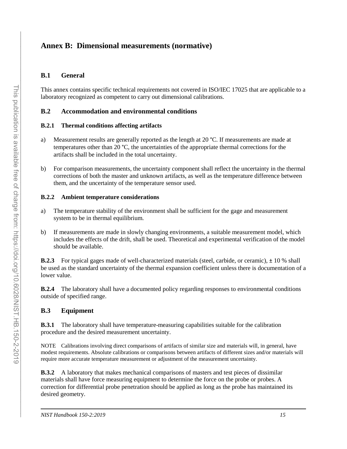# <span id="page-24-0"></span>**Annex B: Dimensional measurements (normative)**

### **B.1 General**

This annex contains specific technical requirements not covered in ISO/IEC 17025 that are applicable to a laboratory recognized as competent to carry out dimensional calibrations.

#### **B.2 Accommodation and environmental conditions**

#### **B.2.1 Thermal conditions affecting artifacts**

- a) Measurement results are generally reported as the length at 20 °C. If measurements are made at temperatures other than 20 °C, the uncertainties of the appropriate thermal corrections for the artifacts shall be included in the total uncertainty.
- b) For comparison measurements, the uncertainty component shall reflect the uncertainty in the thermal corrections of both the master and unknown artifacts, as well as the temperature difference between them, and the uncertainty of the temperature sensor used.

#### **B.2.2 Ambient temperature considerations**

- a) The temperature stability of the environment shall be sufficient for the gage and measurement system to be in thermal equilibrium.
- b) If measurements are made in slowly changing environments, a suitable measurement model, which includes the effects of the drift, shall be used. Theoretical and experimental verification of the model should be available.

**B.2.3** For typical gages made of well-characterized materials (steel, carbide, or ceramic), ± 10 % shall be used as the standard uncertainty of the thermal expansion coefficient unless there is documentation of a lower value.

**B.2.4** The laboratory shall have a documented policy regarding responses to environmental conditions outside of specified range.

#### **B.3 Equipment**

**B.3.1** The laboratory shall have temperature-measuring capabilities suitable for the calibration procedure and the desired measurement uncertainty.

NOTE Calibrations involving direct comparisons of artifacts of similar size and materials will, in general, have modest requirements. Absolute calibrations or comparisons between artifacts of different sizes and/or materials will require more accurate temperature measurement or adjustment of the measurement uncertainty.

**B.3.2** A laboratory that makes mechanical comparisons of masters and test pieces of dissimilar materials shall have force measuring equipment to determine the force on the probe or probes. A correction for differential probe penetration should be applied as long as the probe has maintained its desired geometry.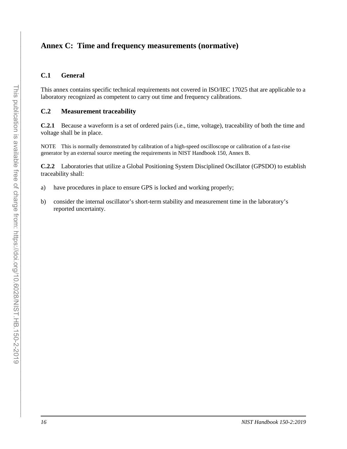# <span id="page-25-0"></span>**Annex C: Time and frequency measurements (normative)**

#### **C.1 General**

This annex contains specific technical requirements not covered in ISO/IEC 17025 that are applicable to a laboratory recognized as competent to carry out time and frequency calibrations.

#### **C.2 Measurement traceability**

**C.2.1** Because a waveform is a set of ordered pairs (i.e., time, voltage), traceability of both the time and voltage shall be in place.

NOTE This is normally demonstrated by calibration of a high-speed oscilloscope or calibration of a fast-rise generator by an external source meeting the requirements in NIST Handbook 150, Annex B.

**C.2.2** Laboratories that utilize a Global Positioning System Disciplined Oscillator (GPSDO) to establish traceability shall:

- a) have procedures in place to ensure GPS is locked and working properly;
- b) consider the internal oscillator's short-term stability and measurement time in the laboratory's reported uncertainty.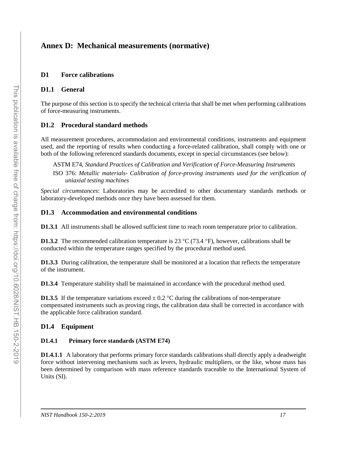# <span id="page-26-0"></span>**Annex D: Mechanical measurements (normative)**

#### <span id="page-26-1"></span>**D1 Force calibrations**

#### **D1.1 General**

The purpose of this section is to specify the technical criteria that shall be met when performing calibrations of force-measuring instruments.

#### **D1.2 Procedural standard methods**

All measurement procedures, accommodation and environmental conditions, instruments and equipment used, and the reporting of results when conducting a force-related calibration, shall comply with one or both of the following referenced standards documents, except in special circumstances (see below):

ASTM E74, *Standard Practices of Calibration and Verification of Force-Measuring Instruments* ISO 376: *Metallic materials- Calibration of force-proving instruments used for the verification of uniaxial testing machines* 

*Special circumstances*: Laboratories may be accredited to other documentary standards methods or laboratory-developed methods once they have been assessed for them.

#### **D1.3 Accommodation and environmental conditions**

**D1.3.1** All instruments shall be allowed sufficient time to reach room temperature prior to calibration.

**D1.3.2** The recommended calibration temperature is 23 °C (73.4 °F), however, calibrations shall be conducted within the temperature ranges specified by the procedural method used.

**D1.3.3** During calibration, the temperature shall be monitored at a location that reflects the temperature of the instrument.

**D1.3.4** Temperature stability shall be maintained in accordance with the procedural method used.

**D1.3.5** If the temperature variations exceed  $\pm$  0.2 °C during the calibrations of non-temperature compensated instruments such as proving rings, the calibration data shall be corrected in accordance with the applicable force calibration standard.

# **D1.4 Equipment**

#### **D1.4.1 Primary force standards (ASTM E74)**

**D1.4.1.1** A laboratory that performs primary force standards calibrations shall directly apply a deadweight force without intervening mechanisms such as levers, hydraulic multipliers, or the like, whose mass has been determined by comparison with mass reference standards traceable to the International System of Units (SI).

 $\mathcal{L}_\text{max} = \mathcal{L}_\text{max} = \mathcal{L}_\text{max} = \mathcal{L}_\text{max} = \mathcal{L}_\text{max} = \mathcal{L}_\text{max} = \mathcal{L}_\text{max} = \mathcal{L}_\text{max} = \mathcal{L}_\text{max} = \mathcal{L}_\text{max} = \mathcal{L}_\text{max} = \mathcal{L}_\text{max} = \mathcal{L}_\text{max} = \mathcal{L}_\text{max} = \mathcal{L}_\text{max} = \mathcal{L}_\text{max} = \mathcal{L}_\text{max} = \mathcal{L}_\text{max} = \mathcal{$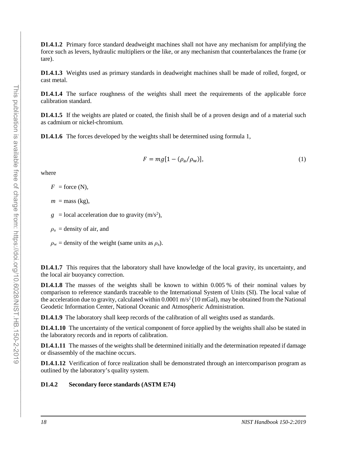**D1.4.1.2** Primary force standard deadweight machines shall not have any mechanism for amplifying the force such as levers, hydraulic multipliers or the like, or any mechanism that counterbalances the frame (or tare).

**D1.4.1.3** Weights used as primary standards in deadweight machines shall be made of rolled, forged, or cast metal.

**D1.4.1.4** The surface roughness of the weights shall meet the requirements of the applicable force calibration standard.

**D1.4.1.5** If the weights are plated or coated, the finish shall be of a proven design and of a material such as cadmium or nickel-chromium.

**D1.4.1.6** The forces developed by the weights shall be determined using formula 1,

$$
F = mg[1 - (\rho_a/\rho_w)],\tag{1}
$$

where

 $F =$  force (N),

 $m =$  mass (kg),

 $g =$ local acceleration due to gravity  $(m/s<sup>2</sup>)$ ,

 $\rho_a$  = density of air, and

 $\rho_w$  = density of the weight (same units as  $\rho_a$ ).

**D1.4.1.7** This requires that the laboratory shall have knowledge of the local gravity, its uncertainty, and the local air buoyancy correction.

**D1.4.1.8** The masses of the weights shall be known to within 0.005 % of their nominal values by comparison to reference standards traceable to the International System of Units (SI). The local value of the acceleration due to gravity, calculated within  $0.0001 \text{ m/s}^2$  (10 mGal), may be obtained from the National Geodetic Information Center, National Oceanic and Atmospheric Administration.

**D1.4.1.9** The laboratory shall keep records of the calibration of all weights used as standards.

**D1.4.1.10** The uncertainty of the vertical component of force applied by the weights shall also be stated in the laboratory records and in reports of calibration.

**D1.4.1.11** The masses of the weights shall be determined initially and the determination repeated if damage or disassembly of the machine occurs.

**D1.4.1.12** Verification of force realization shall be demonstrated through an intercomparison program as outlined by the laboratory's quality system.

#### **D1.4.2 Secondary force standards (ASTM E74)**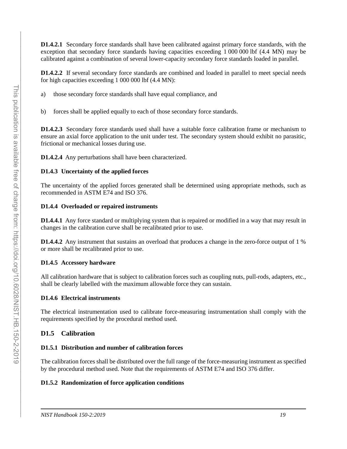**D1.4.2.1** Secondary force standards shall have been calibrated against primary force standards, with the exception that secondary force standards having capacities exceeding 1 000 000 lbf (4.4 MN) may be calibrated against a combination of several lower-capacity secondary force standards loaded in parallel.

**D1.4.2.2** If several secondary force standards are combined and loaded in parallel to meet special needs for high capacities exceeding 1 000 000 lbf (4.4 MN):

- a) those secondary force standards shall have equal compliance, and
- b) forces shall be applied equally to each of those secondary force standards.

**D1.4.2.3** Secondary force standards used shall have a suitable force calibration frame or mechanism to ensure an axial force application to the unit under test. The secondary system should exhibit no parasitic, frictional or mechanical losses during use.

**D1.4.2.4** Any perturbations shall have been characterized.

#### **D1.4.3 Uncertainty of the applied forces**

The uncertainty of the applied forces generated shall be determined using appropriate methods, such as recommended in ASTM E74 and ISO 376.

#### **D1.4.4 Overloaded or repaired instruments**

**D1.4.4.1** Any force standard or multiplying system that is repaired or modified in a way that may result in changes in the calibration curve shall be recalibrated prior to use.

**D1.4.4.2** Any instrument that sustains an overload that produces a change in the zero-force output of 1 % or more shall be recalibrated prior to use.

#### **D1.4.5 Accessory hardware**

All calibration hardware that is subject to calibration forces such as coupling nuts, pull-rods, adapters, etc., shall be clearly labelled with the maximum allowable force they can sustain.

#### **D1.4.6 Electrical instruments**

The electrical instrumentation used to calibrate force-measuring instrumentation shall comply with the requirements specified by the procedural method used.

#### **D1.5 Calibration**

#### **D1.5.1 Distribution and number of calibration forces**

The calibration forces shall be distributed over the full range of the force-measuring instrument as specified by the procedural method used. Note that the requirements of ASTM E74 and ISO 376 differ.

#### **D1.5.2 Randomization of force application conditions**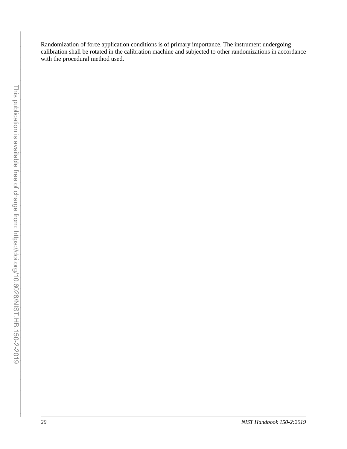Randomization of force application conditions is of primary importance. The instrument undergoing calibration shall be rotated in the calibration machine and subjected to other randomizations in accordance with the procedural method used.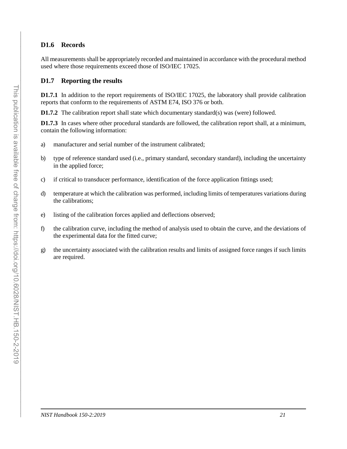### **D1.6 Records**

All measurements shall be appropriately recorded and maintained in accordance with the procedural method used where those requirements exceed those of ISO/IEC 17025.

#### **D1.7 Reporting the results**

**D1.7.1** In addition to the report requirements of ISO/IEC 17025, the laboratory shall provide calibration reports that conform to the requirements of ASTM E74, ISO 376 or both.

**D1.7.2** The calibration report shall state which documentary standard(s) was (were) followed.

**D1.7.3** In cases where other procedural standards are followed, the calibration report shall, at a minimum, contain the following information:

- a) manufacturer and serial number of the instrument calibrated;
- b) type of reference standard used (i.e., primary standard, secondary standard), including the uncertainty in the applied force;
- c) if critical to transducer performance, identification of the force application fittings used;
- d) temperature at which the calibration was performed, including limits of temperatures variations during the calibrations;
- e) listing of the calibration forces applied and deflections observed;
- f) the calibration curve, including the method of analysis used to obtain the curve, and the deviations of the experimental data for the fitted curve;
- g) the uncertainty associated with the calibration results and limits of assigned force ranges if such limits are required.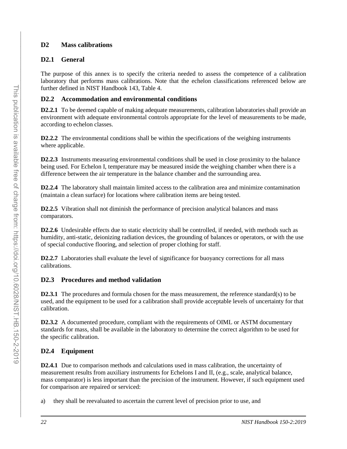# <span id="page-31-0"></span>**D2 Mass calibrations**

# **D2.1 General**

The purpose of this annex is to specify the criteria needed to assess the competence of a calibration laboratory that performs mass calibrations. Note that the echelon classifications referenced below are further defined in NIST Handbook 143, Table 4.

# **D2.2 Accommodation and environmental conditions**

**D2.2.1** To be deemed capable of making adequate measurements, calibration laboratories shall provide an environment with adequate environmental controls appropriate for the level of measurements to be made, according to echelon classes.

**D2.2.2** The environmental conditions shall be within the specifications of the weighing instruments where applicable.

**D2.2.3** Instruments measuring environmental conditions shall be used in close proximity to the balance being used. For Echelon I, temperature may be measured inside the weighing chamber when there is a difference between the air temperature in the balance chamber and the surrounding area.

**D2.2.4** The laboratory shall maintain limited access to the calibration area and minimize contamination (maintain a clean surface) for locations where calibration items are being tested.

**D2.2.5** Vibration shall not diminish the performance of precision analytical balances and mass comparators.

**D2.2.6** Undesirable effects due to static electricity shall be controlled, if needed, with methods such as humidity, anti-static, deionizing radiation devices, the grounding of balances or operators, or with the use of special conductive flooring, and selection of proper clothing for staff.

**D2.2.7** Laboratories shall evaluate the level of significance for buoyancy corrections for all mass calibrations.

# **D2.3 Procedures and method validation**

**D2.3.1** The procedures and formula chosen for the mass measurement, the reference standard(s) to be used, and the equipment to be used for a calibration shall provide acceptable levels of uncertainty for that calibration.

**D2.3.2** A documented procedure, compliant with the requirements of OIML or ASTM documentary standards for mass, shall be available in the laboratory to determine the correct algorithm to be used for the specific calibration.

# **D2.4 Equipment**

**D2.4.1** Due to comparison methods and calculations used in mass calibration, the uncertainty of measurement results from auxiliary instruments for Echelons I and II, (e.g., scale, analytical balance, mass comparator) is less important than the precision of the instrument. However, if such equipment used for comparison are repaired or serviced:

a) they shall be reevaluated to ascertain the current level of precision prior to use, and

 $\mathcal{L}_\text{max} = \mathcal{L}_\text{max} = \mathcal{L}_\text{max} = \mathcal{L}_\text{max} = \mathcal{L}_\text{max} = \mathcal{L}_\text{max} = \mathcal{L}_\text{max} = \mathcal{L}_\text{max} = \mathcal{L}_\text{max} = \mathcal{L}_\text{max} = \mathcal{L}_\text{max} = \mathcal{L}_\text{max} = \mathcal{L}_\text{max} = \mathcal{L}_\text{max} = \mathcal{L}_\text{max} = \mathcal{L}_\text{max} = \mathcal{L}_\text{max} = \mathcal{L}_\text{max} = \mathcal{$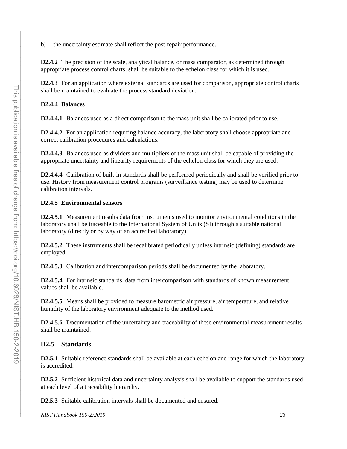b) the uncertainty estimate shall reflect the post-repair performance.

**D2.4.2** The precision of the scale, analytical balance, or mass comparator, as determined through appropriate process control charts, shall be suitable to the echelon class for which it is used.

**D2.4.3** For an application where external standards are used for comparison, appropriate control charts shall be maintained to evaluate the process standard deviation.

# **D2.4.4 Balances**

**D2.4.4.1** Balances used as a direct comparison to the mass unit shall be calibrated prior to use.

**D2.4.4.2** For an application requiring balance accuracy, the laboratory shall choose appropriate and correct calibration procedures and calculations.

**D2.4.4.3** Balances used as dividers and multipliers of the mass unit shall be capable of providing the appropriate uncertainty and linearity requirements of the echelon class for which they are used.

**D2.4.4.4** Calibration of built-in standards shall be performed periodically and shall be verified prior to use. History from measurement control programs (surveillance testing) may be used to determine calibration intervals.

# **D2.4.5 Environmental sensors**

**D2.4.5.1** Measurement results data from instruments used to monitor environmental conditions in the laboratory shall be traceable to the International System of Units (SI) through a suitable national laboratory (directly or by way of an accredited laboratory).

**D2.4.5.2** These instruments shall be recalibrated periodically unless intrinsic (defining) standards are employed.

**D2.4.5.3** Calibration and intercomparison periods shall be documented by the laboratory.

**D2.4.5.4** For intrinsic standards, data from intercomparison with standards of known measurement values shall be available.

**D2.4.5.5** Means shall be provided to measure barometric air pressure, air temperature, and relative humidity of the laboratory environment adequate to the method used.

**D2.4.5.6** Documentation of the uncertainty and traceability of these environmental measurement results shall be maintained.

# **D2.5 Standards**

**D2.5.1** Suitable reference standards shall be available at each echelon and range for which the laboratory is accredited.

**D2.5.2** Sufficient historical data and uncertainty analysis shall be available to support the standards used at each level of a traceability hierarchy.

**D2.5.3** Suitable calibration intervals shall be documented and ensured.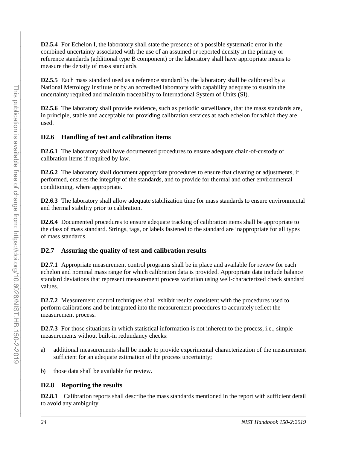**D2.5.4** For Echelon I, the laboratory shall state the presence of a possible systematic error in the combined uncertainty associated with the use of an assumed or reported density in the primary or reference standards (additional type B component) or the laboratory shall have appropriate means to measure the density of mass standards.

**D2.5.5** Each mass standard used as a reference standard by the laboratory shall be calibrated by a National Metrology Institute or by an accredited laboratory with capability adequate to sustain the uncertainty required and maintain traceability to International System of Units (SI).

**D2.5.6** The laboratory shall provide evidence, such as periodic surveillance, that the mass standards are, in principle, stable and acceptable for providing calibration services at each echelon for which they are used.

# **D2.6 Handling of test and calibration items**

**D2.6.1** The laboratory shall have documented procedures to ensure adequate chain-of-custody of calibration items if required by law.

**D2.6.2** The laboratory shall document appropriate procedures to ensure that cleaning or adjustments, if performed, ensures the integrity of the standards, and to provide for thermal and other environmental conditioning, where appropriate.

**D2.6.3** The laboratory shall allow adequate stabilization time for mass standards to ensure environmental and thermal stability prior to calibration.

**D2.6.4** Documented procedures to ensure adequate tracking of calibration items shall be appropriate to the class of mass standard. Strings, tags, or labels fastened to the standard are inappropriate for all types of mass standards.

# **D2.7 Assuring the quality of test and calibration results**

**D2.7.1** Appropriate measurement control programs shall be in place and available for review for each echelon and nominal mass range for which calibration data is provided. Appropriate data include balance standard deviations that represent measurement process variation using well-characterized check standard values.

**D2.7.2** Measurement control techniques shall exhibit results consistent with the procedures used to perform calibrations and be integrated into the measurement procedures to accurately reflect the measurement process.

**D2.7.3** For those situations in which statistical information is not inherent to the process, i.e., simple measurements without built-in redundancy checks:

- a) additional measurements shall be made to provide experimental characterization of the measurement sufficient for an adequate estimation of the process uncertainty;
- b) those data shall be available for review.

# **D2.8 Reporting the results**

**D2.8.1** Calibration reports shall describe the mass standards mentioned in the report with sufficient detail to avoid any ambiguity.

 $\mathcal{L}_\text{max} = \mathcal{L}_\text{max} = \mathcal{L}_\text{max} = \mathcal{L}_\text{max} = \mathcal{L}_\text{max} = \mathcal{L}_\text{max} = \mathcal{L}_\text{max} = \mathcal{L}_\text{max} = \mathcal{L}_\text{max} = \mathcal{L}_\text{max} = \mathcal{L}_\text{max} = \mathcal{L}_\text{max} = \mathcal{L}_\text{max} = \mathcal{L}_\text{max} = \mathcal{L}_\text{max} = \mathcal{L}_\text{max} = \mathcal{L}_\text{max} = \mathcal{L}_\text{max} = \mathcal{$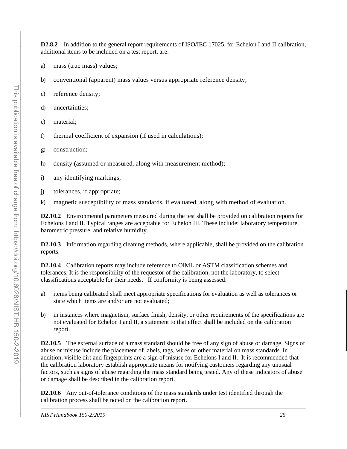**D2.8.2** In addition to the general report requirements of ISO/IEC 17025, for Echelon I and II calibration, additional items to be included on a test report, are:

- a) mass (true mass) values;
- b) conventional (apparent) mass values versus appropriate reference density;
- c) reference density;
- d) uncertainties;
- e) material;
- f) thermal coefficient of expansion (if used in calculations);
- g) construction;
- h) density (assumed or measured, along with measurement method);
- i) any identifying markings;
- j) tolerances, if appropriate;
- k) magnetic susceptibility of mass standards, if evaluated, along with method of evaluation.

**D2.10.2** Environmental parameters measured during the test shall be provided on calibration reports for Echelons I and II. Typical ranges are acceptable for Echelon III. These include: laboratory temperature, barometric pressure, and relative humidity.

**D2.10.3** Information regarding cleaning methods, where applicable, shall be provided on the calibration reports.

**D2.10.4** Calibration reports may include reference to OIML or ASTM classification schemes and tolerances. It is the responsibility of the requestor of the calibration, not the laboratory, to select classifications acceptable for their needs. If conformity is being assessed:

- a) items being calibrated shall meet appropriate specifications for evaluation as well as tolerances or state which items are and/or are not evaluated;
- b) in instances where magnetism, surface finish, density, or other requirements of the specifications are not evaluated for Echelon I and II, a statement to that effect shall be included on the calibration report.

**D2.10.5** The external surface of a mass standard should be free of any sign of abuse or damage. Signs of abuse or misuse include the placement of labels, tags, wires or other material on mass standards. In addition, visible dirt and fingerprints are a sign of misuse for Echelons I and II. It is recommended that the calibration laboratory establish appropriate means for notifying customers regarding any unusual factors, such as signs of abuse regarding the mass standard being tested. Any of these indicators of abuse or damage shall be described in the calibration report.

**D2.10.6** Any out-of-tolerance conditions of the mass standards under test identified through the calibration process shall be noted on the calibration report.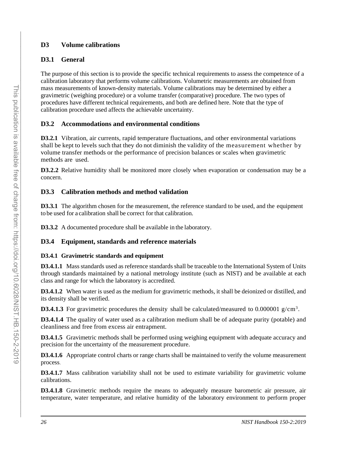# <span id="page-35-0"></span>**D3 Volume calibrations**

# **D3.1 General**

The purpose of this section is to provide the specific technical requirements to assess the competence of a calibration laboratory that performs volume calibrations. Volumetric measurements are obtained from mass measurements of known-density materials. Volume calibrations may be determined by either a gravimetric (weighing procedure) or a volume transfer (comparative) procedure. The two types of procedures have different technical requirements, and both are defined here. Note that the type of calibration procedure used affects the achievable uncertainty.

# **D3.2 Accommodations and environmental conditions**

**D3.2.1** Vibration, air currents, rapid temperature fluctuations, and other environmental variations shall be kept to levels such that they do not diminish the validity of the measurement whether by volume transfer methods or the performance of precision balances or scales when gravimetric methods are used.

**D3.2.2** Relative humidity shall be monitored more closely when evaporation or condensation may be a concern.

# **D3.3 Calibration methods and method validation**

**D3.3.1** The algorithm chosen for the measurement, the reference standard to be used, and the equipment to be used for a calibration shall be correct for that calibration.

**D3.3.2** A documented procedure shall be available in the laboratory.

# **D3.4 Equipment, standards and reference materials**

# **D3.4.1 Gravimetric standards and equipment**

**D3.4.1.1** Mass standards used as reference standards shall be traceable to the International System of Units through standards maintained by a national metrology institute (such as NIST) and be available at each class and range for which the laboratory is accredited.

**D3.4.1.2** When water is used as the medium for gravimetric methods, it shall be deionized or distilled, and its density shall be verified.

**D3.4.1.3** For gravimetric procedures the density shall be calculated/measured to 0.000001  $g/cm<sup>3</sup>$ .

**D3.4.1.4** The quality of water used as a calibration medium shall be of adequate purity (potable) and cleanliness and free from excess air entrapment.

**D3.4.1.5** Gravimetric methods shall be performed using weighing equipment with adequate accuracy and precision for the uncertainty of the measurement procedure.

**D3.4.1.6** Appropriate control charts or range charts shall be maintained to verify the volume measurement process.

**D3.4.1.7** Mass calibration variability shall not be used to estimate variability for gravimetric volume calibrations.

**D3.4.1.8** Gravimetric methods require the means to adequately measure barometric air pressure, air temperature, water temperature, and relative humidity of the laboratory environment to perform proper

 $\mathcal{L}_\text{max} = \mathcal{L}_\text{max} = \mathcal{L}_\text{max} = \mathcal{L}_\text{max} = \mathcal{L}_\text{max} = \mathcal{L}_\text{max} = \mathcal{L}_\text{max} = \mathcal{L}_\text{max} = \mathcal{L}_\text{max} = \mathcal{L}_\text{max} = \mathcal{L}_\text{max} = \mathcal{L}_\text{max} = \mathcal{L}_\text{max} = \mathcal{L}_\text{max} = \mathcal{L}_\text{max} = \mathcal{L}_\text{max} = \mathcal{L}_\text{max} = \mathcal{L}_\text{max} = \mathcal{$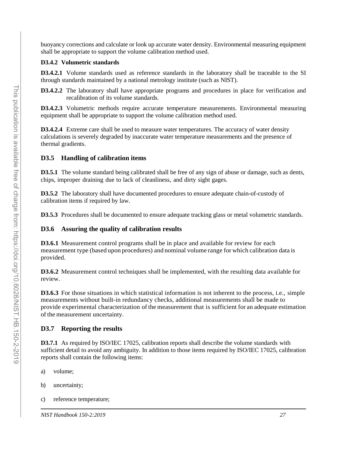buoyancy corrections and calculate or look up accurate water density. Environmental measuring equipment shall be appropriate to support the volume calibration method used.

#### **D3.4.2 Volumetric standards**

**D3.4.2.1** Volume standards used as reference standards in the laboratory shall be traceable to the SI through standards maintained by a national metrology institute (such as NIST).

**D3.4.2.2** The laboratory shall have appropriate programs and procedures in place for verification and recalibration of its volume standards.

**D3.4.2.3** Volumetric methods require accurate temperature measurements. Environmental measuring equipment shall be appropriate to support the volume calibration method used.

**D3.4.2.4** Extreme care shall be used to measure water temperatures. The accuracy of water density calculations is severely degraded by inaccurate water temperature measurements and the presence of thermal gradients.

#### **D3.5 Handling of calibration items**

**D3.5.1** The volume standard being calibrated shall be free of any sign of abuse or damage, such as dents, chips, improper draining due to lack of cleanliness, and dirty sight gages.

**D3.5.2** The laboratory shall have documented procedures to ensure adequate chain-of-custody of calibration items if required by law.

**D3.5.3** Procedures shall be documented to ensure adequate tracking glass or metal volumetric standards.

#### **D3.6 Assuring the quality of calibration results**

**D3.6.1** Measurement control programs shall be in place and available for review for each measurement type (based upon procedures) and nominal volume range for which calibration data is provided.

**D3.6.2** Measurement control techniques shall be implemented, with the resulting data available for review.

**D3.6.3** For those situations in which statistical information is not inherent to the process, i.e., simple measurements without built-in redundancy checks, additional measurements shall be made to provide experimental characterization of the measurement that is sufficient for an adequate estimation of the measurement uncertainty.

#### **D3.7 Reporting the results**

**D3.7.1** As required by ISO/IEC 17025, calibration reports shall describe the volume standards with sufficient detail to avoid any ambiguity. In addition to those items required by ISO/IEC 17025, calibration reports shall contain the following items:

- a) volume;
- b) uncertainty;
- c) reference temperature;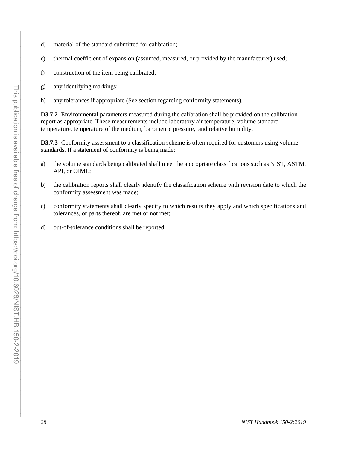- d) material of the standard submitted for calibration;
- e) thermal coefficient of expansion (assumed, measured, or provided by the manufacturer) used;
- f) construction of the item being calibrated;
- g) any identifying markings;
- h) any tolerances if appropriate (See section regarding conformity statements).

**D3.7.2** Environmental parameters measured during the calibration shall be provided on the calibration report as appropriate. These measurements include laboratory air temperature, volume standard temperature, temperature of the medium, barometric pressure, and relative humidity.

**D3.7.3** Conformity assessment to a classification scheme is often required for customers using volume standards. If a statement of conformity is being made:

- a) the volume standards being calibrated shall meet the appropriate classifications such as NIST, ASTM, API, or OIML;
- b) the calibration reports shall clearly identify the classification scheme with revision date to which the conformity assessment was made;
- c) conformity statements shall clearly specify to which results they apply and which specifications and tolerances, or parts thereof, are met or not met;
- d) out-of-tolerance conditions shall be reported.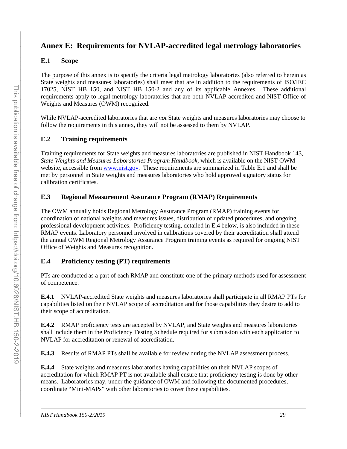# <span id="page-38-0"></span>**Annex E: Requirements for NVLAP-accredited legal metrology laboratories**

# **E.1 Scope**

The purpose of this annex is to specify the criteria legal metrology laboratories (also referred to herein as State weights and measures laboratories) shall meet that are in addition to the requirements of ISO/IEC 17025, NIST HB 150, and NIST HB 150-2 and any of its applicable Annexes. These additional requirements apply to legal metrology laboratories that are both NVLAP accredited and NIST Office of Weights and Measures (OWM) recognized.

While NVLAP-accredited laboratories that are *not* State weights and measures laboratories may choose to follow the requirements in this annex, they will not be assessed to them by NVLAP.

# **E.2 Training requirements**

Training requirements for State weights and measures laboratories are published in NIST Handbook 143, *State Weights and Measures Laboratories Program Handbook*, which is available on the NIST OWM website, accessible from [www.nist.gov.](http://www.nist.gov/) These requirements are summarized in Table E.1 and shall be met by personnel in State weights and measures laboratories who hold approved signatory status for calibration certificates.

# **E.3 Regional Measurement Assurance Program (RMAP) Requirements**

The OWM annually holds Regional Metrology Assurance Program (RMAP) training events for coordination of national weights and measures issues, distribution of updated procedures, and ongoing professional development activities. Proficiency testing, detailed in E.4 below, is also included in these RMAP events. Laboratory personnel involved in calibrations covered by their accreditation shall attend the annual OWM Regional Metrology Assurance Program training events as required for ongoing NIST Office of Weights and Measures recognition.

# **E.4 Proficiency testing (PT) requirements**

PTs are conducted as a part of each RMAP and constitute one of the primary methods used for assessment of competence.

**E.4.1** NVLAP-accredited State weights and measures laboratories shall participate in all RMAP PTs for capabilities listed on their NVLAP scope of accreditation and for those capabilities they desire to add to their scope of accreditation.

**E.4.2** RMAP proficiency tests are accepted by NVLAP, and State weights and measures laboratories shall include them in the Proficiency Testing Schedule required for submission with each application to NVLAP for accreditation or renewal of accreditation.

**E.4.3** Results of RMAP PTs shall be available for review during the NVLAP assessment process.

**E.4.4** State weights and measures laboratories having capabilities on their NVLAP scopes of accreditation for which RMAP PT is not available shall ensure that proficiency testing is done by other means. Laboratories may, under the guidance of OWM and following the documented procedures, coordinate "Mini-MAPs" with other laboratories to cover these capabilities.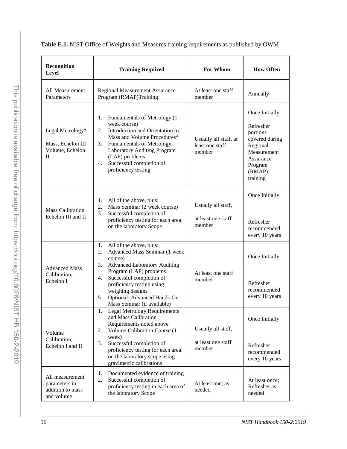| Recognition<br>Level                                                     | <b>Training Required</b>                                                                                                                                                                                                                                                                                  | For Whom                                           | <b>How Often</b>                                                                                                                   |
|--------------------------------------------------------------------------|-----------------------------------------------------------------------------------------------------------------------------------------------------------------------------------------------------------------------------------------------------------------------------------------------------------|----------------------------------------------------|------------------------------------------------------------------------------------------------------------------------------------|
| All Measurement<br>Parameters                                            | <b>Regional Measurement Assurance</b><br>Program (RMAP)Training                                                                                                                                                                                                                                           | At least one staff<br>member                       | Annually                                                                                                                           |
| Legal Metrology*<br>Mass, Echelon III<br>Volume, Echelon<br>$\mathbf{I}$ | Fundamentals of Metrology (1<br>1.<br>week course)<br>Introduction and Orientation to<br>2.<br>Mass and Volume Procedures*<br>Fundamentals of Metrology,<br>3.<br><b>Laboratory Auditing Program</b><br>(LAP) problems<br>Successful completion of<br>4.<br>proficiency testing                           | Usually all staff, at<br>least one staff<br>member | Once Initially<br>Refresher<br>portions<br>covered during<br>Regional<br>Measurement<br>Assurance<br>Program<br>(RMAP)<br>training |
| <b>Mass Calibration</b><br>Echelon III and II                            | All of the above, plus:<br>1.<br>Mass Seminar (2 week course)<br>2.<br>Successful completion of<br>3.<br>proficiency testing for each area<br>on the laboratory Scope                                                                                                                                     | Usually all staff,<br>at least one staff<br>member | Once Initially<br>Refresher<br>recommended<br>every 10 years                                                                       |
| <b>Advanced Mass</b><br>Calibration,<br>Echelon I                        | 1.<br>All of the above, plus:<br>Advanced Mass Seminar (1 week<br>2.<br>course)<br>3.<br><b>Advanced Laboratory Auditing</b><br>Program (LAP) problems<br>Successful completion of<br>4.<br>proficiency testing using<br>weighing designs<br>Optional: Advanced Hands-On<br>5.                            | At least one staff<br>member                       | Once Initially<br>Refresher<br>recommended<br>every 10 years                                                                       |
| Volume<br>Calibration,<br>Echelon I and II                               | Mass Seminar (if available)<br><b>Legal Metrology Requirements</b><br>and Mass Calibration<br>Requirements noted above<br>Volume Calibration Course (1<br>2.<br>week)<br>Successful completion of<br>3.<br>proficiency testing for each area<br>on the laboratory scope using<br>gravimetric calibrations | Usually all staff,<br>at least one staff<br>member | Once Initially<br>Refresher<br>recommended<br>every 10 years                                                                       |
| All measurement<br>parameters in<br>addition to mass<br>and volume       | Documented evidence of training<br>1.<br>2.<br>Successful completion of<br>proficiency testing in each area of<br>the laboratory Scope                                                                                                                                                                    | At least one, as<br>needed                         | At least once;<br>Refresher as<br>needed                                                                                           |

**Table E.1.** NIST Office of Weights and Measures training requirements as published by OWM